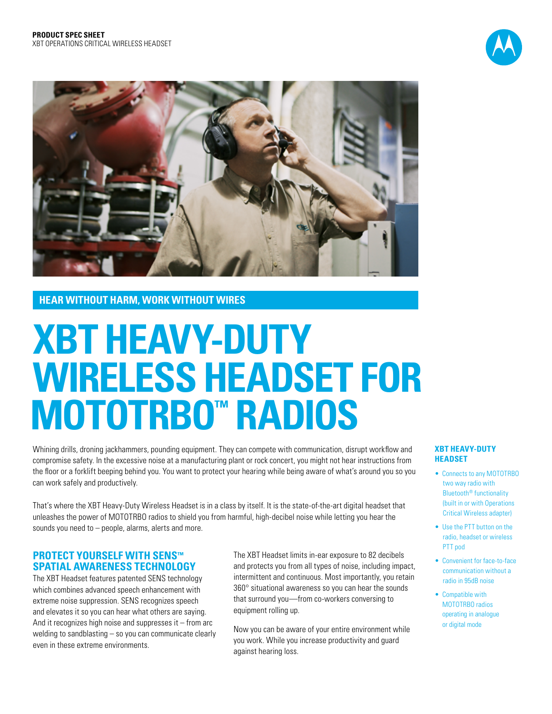



## **HEAR WITHOUT HARM, WORK WITHOUT WIRES**

# **XBT HEAVY-DUTY WIRELESS HEADSET FOR MOTOTRBO™ RADIOS**

Whining drills, droning jackhammers, pounding equipment. They can compete with communication, disrupt workflow and compromise safety. In the excessive noise at a manufacturing plant or rock concert, you might not hear instructions from the floor or a forklift beeping behind you. You want to protect your hearing while being aware of what's around you so you can work safely and productively.

That's where the XBT Heavy-Duty Wireless Headset is in a class by itself. It is the state-of-the-art digital headset that unleashes the power of MOTOTRBO radios to shield you from harmful, high-decibel noise while letting you hear the sounds you need to – people, alarms, alerts and more.

## **PROTECT YOURSELF WITH SENS™ SPATIAL AWARENESS TECHNOLOGY**

The XBT Headset features patented SENS technology which combines advanced speech enhancement with extreme noise suppression. SENS recognizes speech and elevates it so you can hear what others are saying. And it recognizes high noise and suppresses it – from arc welding to sandblasting – so you can communicate clearly even in these extreme environments.

The XBT Headset limits in-ear exposure to 82 decibels and protects you from all types of noise, including impact, intermittent and continuous. Most importantly, you retain 360° situational awareness so you can hear the sounds that surround you—from co-workers conversing to equipment rolling up.

Now you can be aware of your entire environment while you work. While you increase productivity and guard against hearing loss.

#### **XBT HEAVY-DUTY HEADSET**

- Connects to any MOTOTRBO two way radio with Bluetooth® functionality (built in or with Operations Critical Wireless adapter)
- Use the PTT button on the radio, headset or wireless PTT pod
- Convenient for face-to-face communication without a radio in 95dB noise
- Compatible with MOTOTRBO radios operating in analogue or digital mode